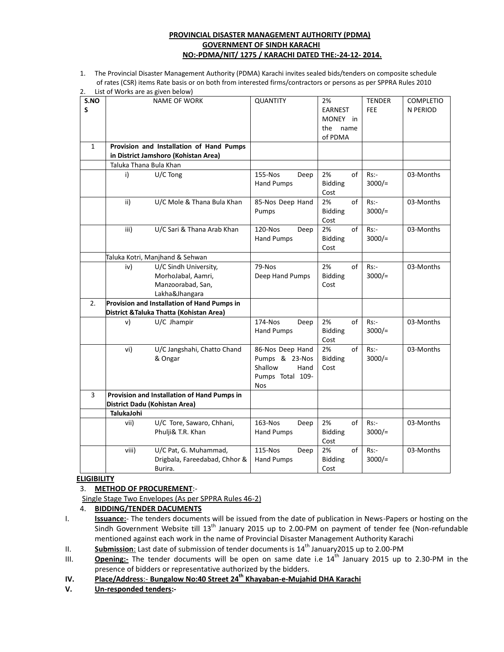#### **PROVINCIAL DISASTER MANAGEMENT AUTHORITY (PDMA) GOVERNMENT OF SINDH KARACHI NO:-PDMA/NIT/ 1275 / KARACHI DATED THE:-24-12- 2014.**

1. The Provincial Disaster Management Authority (PDMA) Karachi invites sealed bids/tenders on composite schedule of rates (CSR) items Rate basis or on both from interested firms/contractors or persons as per SPPRA Rules 2010  $2.1$ ist of  $M$ orks are as given below)

| S.NO<br>S    |                                                                                         | <b>NAME OF WORK</b>                                                                | <b>QUANTITY</b>                                                                 |      | 2%<br><b>EARNEST</b><br>MONEY in<br>the<br>name<br>of PDMA |    | <b>TENDER</b><br><b>FEE</b> | <b>COMPLETIO</b><br>N PERIOD |
|--------------|-----------------------------------------------------------------------------------------|------------------------------------------------------------------------------------|---------------------------------------------------------------------------------|------|------------------------------------------------------------|----|-----------------------------|------------------------------|
| $\mathbf{1}$ |                                                                                         | Provision and Installation of Hand Pumps<br>in District Jamshoro (Kohistan Area)   |                                                                                 |      |                                                            |    |                             |                              |
|              | Taluka Thana Bula Khan                                                                  |                                                                                    |                                                                                 |      |                                                            |    |                             |                              |
|              | i)                                                                                      | U/C Tong                                                                           | 155-Nos<br><b>Hand Pumps</b>                                                    | Deep | 2%<br><b>Bidding</b><br>Cost                               | of | Rs:<br>$3000/=$             | 03-Months                    |
|              | ii)                                                                                     | U/C Mole & Thana Bula Khan                                                         | 85-Nos Deep Hand<br>Pumps                                                       |      | 2%<br><b>Bidding</b><br>Cost                               | of | Rs:<br>$3000/=$             | 03-Months                    |
|              | iii)                                                                                    | U/C Sari & Thana Arab Khan                                                         | 120-Nos<br><b>Hand Pumps</b>                                                    | Deep | 2%<br><b>Bidding</b><br>Cost                               | of | Rs:<br>$3000/$ =            | 03-Months                    |
|              |                                                                                         | Taluka Kotri, Manjhand & Sehwan                                                    |                                                                                 |      |                                                            |    |                             |                              |
|              | iv)                                                                                     | U/C Sindh University,<br>MorhoJabal, Aamri,<br>Manzoorabad, San,<br>Lakha&Jhangara | 79-Nos<br>Deep Hand Pumps                                                       |      | 2%<br><b>Bidding</b><br>Cost                               | of | Rs:<br>$3000/$ =            | 03-Months                    |
| 2.           | Provision and Installation of Hand Pumps in<br>District & Taluka Thatta (Kohistan Area) |                                                                                    |                                                                                 |      |                                                            |    |                             |                              |
|              | v)                                                                                      | U/C Jhampir                                                                        | 174-Nos<br><b>Hand Pumps</b>                                                    | Deep | 2%<br><b>Bidding</b><br>Cost                               | of | Rs:<br>$3000/=$             | 03-Months                    |
|              | vi)                                                                                     | U/C Jangshahi, Chatto Chand<br>& Ongar                                             | 86-Nos Deep Hand<br>Pumps & 23-Nos<br>Shallow<br>Pumps Total 109-<br><b>Nos</b> | Hand | 2%<br><b>Bidding</b><br>Cost                               | of | Rs:<br>$3000/=$             | 03-Months                    |
| 3            | Provision and Installation of Hand Pumps in                                             |                                                                                    |                                                                                 |      |                                                            |    |                             |                              |
|              | District Dadu (Kohistan Area)                                                           |                                                                                    |                                                                                 |      |                                                            |    |                             |                              |
|              | <b>TalukaJohi</b>                                                                       |                                                                                    |                                                                                 |      |                                                            |    |                             |                              |
|              | vii)                                                                                    | U/C Tore, Sawaro, Chhani,<br>Phulji& T.R. Khan                                     | 163-Nos<br><b>Hand Pumps</b>                                                    | Deep | 2%<br><b>Bidding</b><br>Cost                               | of | Rs:<br>$3000/=$             | 03-Months                    |
|              | viii)                                                                                   | U/C Pat, G. Muhammad,<br>Drigbala, Fareedabad, Chhor &                             | 115-Nos<br><b>Hand Pumps</b>                                                    | Deep | 2%<br><b>Bidding</b>                                       | of | Rs:<br>$3000/=$             | 03-Months                    |

#### **ELIGIBILITY**

### 3. **METHOD OF PROCUREMENT**:-

Single Stage Two Envelopes (As per SPPRA Rules 46-2)

4. **BIDDING/TENDER DACUMENTS**

- I. **Issuance:** The tenders documents will be issued from the date of publication in News-Papers or hosting on the Sindh Government Website till 13<sup>th</sup> January 2015 up to 2.00-PM on payment of tender fee (Non-refundable mentioned against each work in the name of Provincial Disaster Management Authority Karachi
- II. **Submission**: Last date of submission of tender documents is 14<sup>th</sup> January2015 up to 2.00-PM
- III. **Opening:** The tender documents will be open on same date i.e 14<sup>th</sup> January 2015 up to 2.30-PM in the presence of bidders or representative authorized by the bidders.
- **IV. Place/Address**:- **Bungalow No:40 Street 24th Khayaban-e-Mujahid DHA Karachi**
- **V. Un-responded tenders:-**